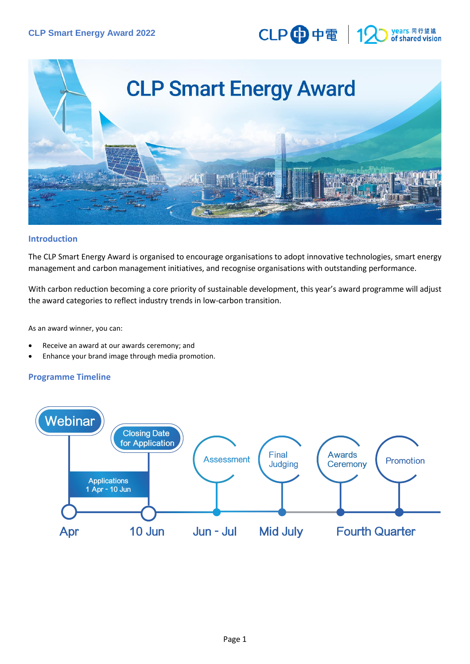# CLP 中電 12 years 同行望<br>of shared vis



## **Introduction**

The CLP Smart Energy Award is organised to encourage organisations to adopt innovative technologies, smart energy management and carbon management initiatives, and recognise organisations with outstanding performance.

With carbon reduction becoming a core priority of sustainable development, this year's award programme will adjust the award categories to reflect industry trends in low-carbon transition.

As an award winner, you can:

- Receive an award at our awards ceremony; and
- Enhance your brand image through media promotion.

## **Programme Timeline**

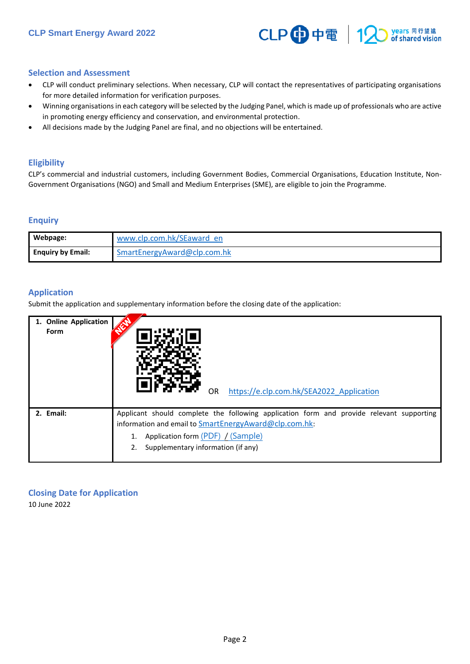

### **Selection and Assessment**

- CLP will conduct preliminary selections. When necessary, CLP will contact the representatives of participating organisations for more detailed information for verification purposes.
- Winning organisations in each category will be selected by the Judging Panel, which is made up of professionals who are active in promoting energy efficiency and conservation, and environmental protection.
- All decisions made by the Judging Panel are final, and no objections will be entertained.

### **Eligibility**

CLP's commercial and industrial customers, including Government Bodies, Commercial Organisations, Education Institute, Non-Government Organisations (NGO) and Small and Medium Enterprises (SME), are eligible to join the Programme.

### **Enquiry**

| Webpage:                 | www.clp.com.hk/SEaward en   |
|--------------------------|-----------------------------|
| <b>Enguiry by Email:</b> | SmartEnergyAward@clp.com.hk |

## **Application**

Submit the application and supplementary information before the closing date of the application:

| 1. Online Application | https://e.clp.com.hk/SEA2022 Application                                                                                                                                                                                     |
|-----------------------|------------------------------------------------------------------------------------------------------------------------------------------------------------------------------------------------------------------------------|
| Form                  | OR.                                                                                                                                                                                                                          |
| 2. Email:             | Applicant should complete the following application form and provide relevant supporting<br>information and email to SmartEnergyAward@clp.com.hk:<br>Application form (PDF) / (Sample)<br>Supplementary information (if any) |

**Closing Date for Application**  10 June 2022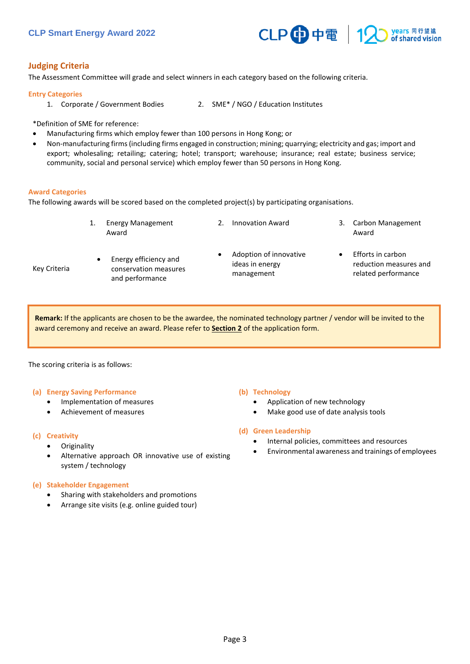

## **Judging Criteria**

The Assessment Committee will grade and select winners in each category based on the following criteria.

#### **Entry Categories**

- 1. Corporate / Government Bodies 2. SME\* / NGO / Education Institutes
	-

\*Definition of SME for reference:

- Manufacturing firms which employ fewer than 100 persons in Hong Kong; or
- Non-manufacturing firms (including firms engaged in construction; mining; quarrying; electricity and gas; import and export; wholesaling; retailing; catering; hotel; transport; warehouse; insurance; real estate; business service; community, social and personal service) which employ fewer than 50 persons in Hong Kong.

#### **Award Categories**

Key Criteria

The following awards will be scored based on the completed project(s) by participating organisations.

| <b>Energy Management</b><br>Award                                 | <b>Innovation Award</b>                                 | 3. | Carbon Management<br>Award                                         |
|-------------------------------------------------------------------|---------------------------------------------------------|----|--------------------------------------------------------------------|
| Energy efficiency and<br>conservation measures<br>and performance | Adoption of innovative<br>ideas in energy<br>management |    | Efforts in carbon<br>reduction measures and<br>related performance |

**Remark:** If the applicants are chosen to be the awardee, the nominated technology partner / vendor will be invited to the award ceremony and receive an award. Please refer to **Section 2** of the application form.

The scoring criteria is as follows:

#### **(a) Energy Saving Performance**

- Implementation of measures
- Achievement of measures

#### **(c) Creativity**

- **Originality**
- Alternative approach OR innovative use of existing system / technology

#### **(e) Stakeholder Engagement**

- Sharing with stakeholders and promotions
- Arrange site visits (e.g. online guided tour)

#### **(b) Technology**

- Application of new technology
- Make good use of date analysis tools

#### **(d) Green Leadership**

- Internal policies, committees and resources
- Environmental awareness and trainings of employees